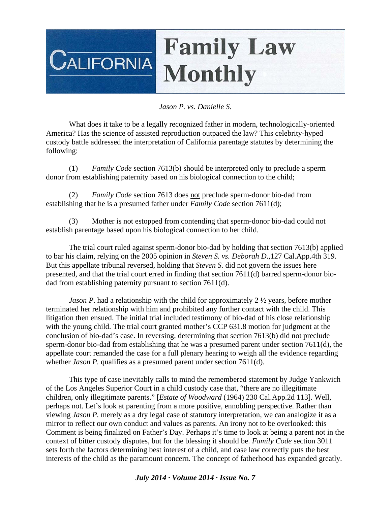## **Family Law CALIFORNIA Monthly**

## *Jason P. vs. Danielle S.*

 What does it take to be a legally recognized father in modern, technologically-oriented America? Has the science of assisted reproduction outpaced the law? This celebrity-hyped custody battle addressed the interpretation of California parentage statutes by determining the following:

 (1) *Family Code* section 7613(b) should be interpreted only to preclude a sperm donor from establishing paternity based on his biological connection to the child;

 (2) *Family Code* section 7613 does not preclude sperm-donor bio-dad from establishing that he is a presumed father under *Family Code* section 7611(d);

 (3) Mother is not estopped from contending that sperm-donor bio-dad could not establish parentage based upon his biological connection to her child.

 The trial court ruled against sperm-donor bio-dad by holding that section 7613(b) applied to bar his claim, relying on the 2005 opinion in *Steven S. vs. Deborah D*.,127 Cal.App.4th 319. But this appellate tribunal reversed, holding that *Steven S.* did not govern the issues here presented, and that the trial court erred in finding that section 7611(d) barred sperm-donor biodad from establishing paternity pursuant to section 7611(d).

*Jason P*. had a relationship with the child for approximately 2  $\frac{1}{2}$  years, before mother terminated her relationship with him and prohibited any further contact with the child. This litigation then ensued. The initial trial included testimony of bio-dad of his close relationship with the young child. The trial court granted mother's CCP 631.8 motion for judgment at the conclusion of bio-dad's case. In reversing, determining that section 7613(b) did not preclude sperm-donor bio-dad from establishing that he was a presumed parent under section 7611(d), the appellate court remanded the case for a full plenary hearing to weigh all the evidence regarding whether *Jason P*. qualifies as a presumed parent under section 7611(d).

 This type of case inevitably calls to mind the remembered statement by Judge Yankwich of the Los Angeles Superior Court in a child custody case that, "there are no illegitimate children, only illegitimate parents." [*Estate of Woodward* (1964) 230 Cal.App.2d 113]. Well, perhaps not. Let's look at parenting from a more positive, ennobling perspective. Rather than viewing *Jason P.* merely as a dry legal case of statutory interpretation, we can analogize it as a mirror to reflect our own conduct and values as parents. An irony not to be overlooked: this Comment is being finalized on Father's Day. Perhaps it's time to look at being a parent not in the context of bitter custody disputes, but for the blessing it should be. *Family Code* section 3011 sets forth the factors determining best interest of a child, and case law correctly puts the best interests of the child as the paramount concern. The concept of fatherhood has expanded greatly.

## *July 2014 · Volume 2014 · Issue No. 7*